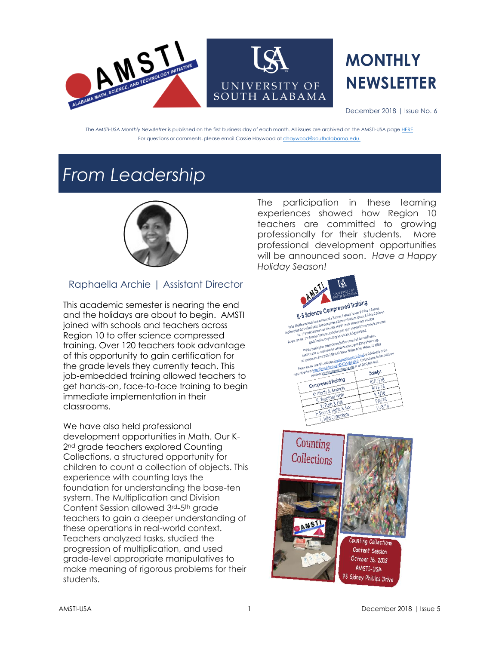

# **MONTHLY NEWSLETTER**

December 2018 | Issue No. 6

The *AMSTI-USA Monthly Newsletter* is published on the first business day of each month. All issues are archived on the AMSTI-USA pag[e HERE](https://www.amstiusa.org/newsletter) For questions or comments, please email Cassie Haywood a[t chaywood@southalabama.edu.](mailto:chaywood@southalabama.edu)

### *From Leadership*



### Raphaella Archie | Assistant Director

This academic semester is nearing the end and the holidays are about to begin. AMSTI joined with schools and teachers across Region 10 to offer science compressed training. Over 120 teachers took advantage of this opportunity to gain certification for the grade levels they currently teach. This job-embedded training allowed teachers to get hands-on, face-to-face training to begin immediate implementation in their classrooms.

We have also held professional development opportunities in Math. Our K-2<sup>nd</sup> grade teachers explored Counting Collections, a structured opportunity for children to count a collection of objects. This experience with counting lays the foundation for understanding the base-ten system. The Multiplication and Division Content Session allowed 3rd-5th grade teachers to gain a deeper understanding of these operations in real-world context. Teachers analyzed tasks, studied the progression of multiplication, and used grade-level appropriate manipulatives to make meaning of rigorous problems for their students.

The participation in these learning experiences showed how Region 10 teachers are committed to growing professionally for their students. More professional development opportunities will be announced soon. *Have a Happy Holiday Season!* 



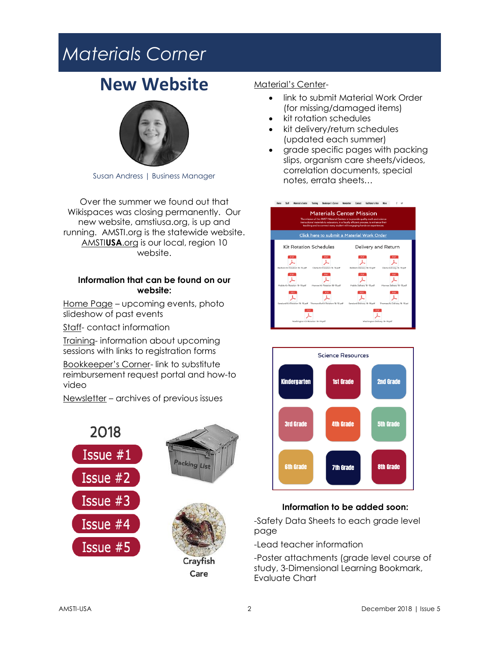### *Materials Corner*

### **New Website**



Susan Andress | Business Manager

Over the summer we found out that Wikispaces was closing permanently. Our new website, amstiusa.org, is up and running. AMSTI.org is the statewide website. AMSTI**USA**.org is our local, region 10 website.

#### **Information that can be found on our website:**

Home Page – upcoming events, photo slideshow of past events

Staff- contact information

Training- information about upcoming sessions with links to registration forms

Bookkeeper's Corner- link to substitute reimbursement request portal and how-to video

Newsletter – archives of previous issues







#### Material's Center-

- link to submit Material Work Order (for missing/damaged items)
- kit rotation schedules
- kit delivery/return schedules (updated each summer)
- grade specific pages with packing slips, organism care sheets/videos, correlation documents, special notes, errata sheets…





#### **Information to be added soon:**

-Safety Data Sheets to each grade level page

-Lead teacher information

-Poster attachments (grade level course of study, 3-Dimensional Learning Bookmark, Evaluate Chart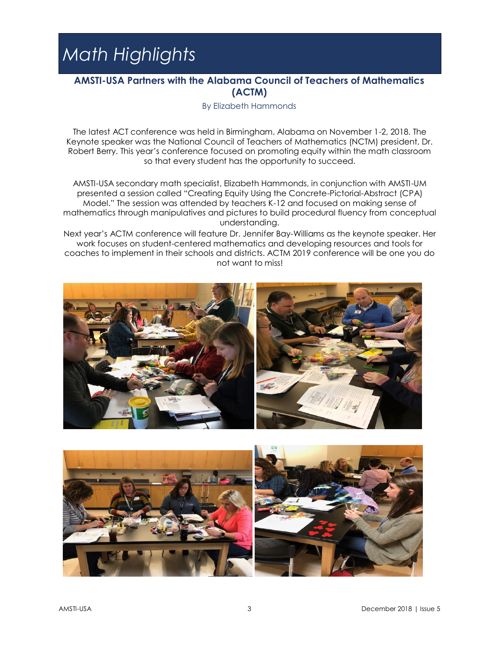# *Math Highlights*

#### **AMSTI-USA Partners with the Alabama Council of Teachers of Mathematics (ACTM)**

By Elizabeth Hammonds

The latest ACT conference was held in Birmingham, Alabama on November 1-2, 2018. The Keynote speaker was the National Council of Teachers of Mathematics (NCTM) president, Dr. Robert Berry. This year's conference focused on promoting equity within the math classroom so that every student has the opportunity to succeed.

AMSTI-USA secondary math specialist, Elizabeth Hammonds, in conjunction with AMSTI-UM presented a session called "Creating Equity Using the Concrete-Pictorial-Abstract (CPA) Model." The session was attended by teachers K-12 and focused on making sense of mathematics through manipulatives and pictures to build procedural fluency from conceptual understanding.

Next year's ACTM conference will feature Dr. Jennifer Bay-Williams as the keynote speaker. Her work focuses on student-centered mathematics and developing resources and tools for coaches to implement in their schools and districts. ACTM 2019 conference will be one you do not want to miss!



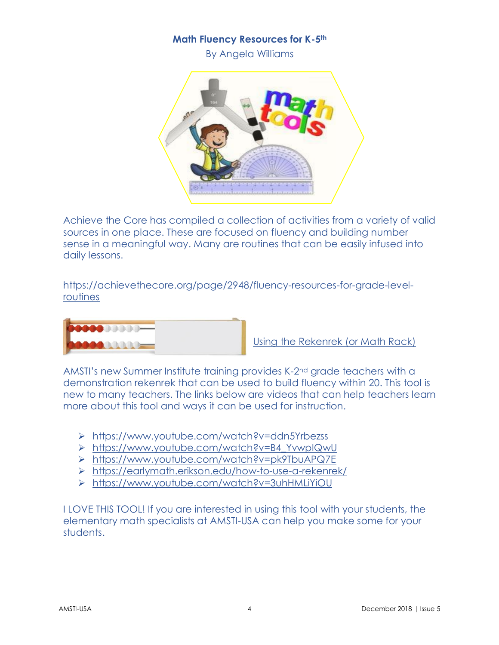#### **Math Fluency Resources for K-5th**

By Angela Williams



Achieve the Core has compiled a collection of activities from a variety of valid sources in one place. These are focused on fluency and building number sense in a meaningful way. Many are routines that can be easily infused into daily lessons.

[https://achievethecore.org/page/2948/fluency-resources-for-grade-level](https://achievethecore.org/page/2948/fluency-resources-for-grade-level-routines)[routines](https://achievethecore.org/page/2948/fluency-resources-for-grade-level-routines)



Using the Rekenrek (or Math Rack)

AMSTI's new Summer Institute training provides K-2<sup>nd</sup> grade teachers with a demonstration rekenrek that can be used to build fluency within 20. This tool is new to many teachers. The links below are videos that can help teachers learn more about this tool and ways it can be used for instruction.

- ➢ <https://www.youtube.com/watch?v=ddn5Yrbezss>
- ➢ [https://www.youtube.com/watch?v=B4\\_YvwpIQwU](https://www.youtube.com/watch?v=B4_YvwpIQwU)
- ➢ <https://www.youtube.com/watch?v=pk9TbuAPQ7E>
- ➢ <https://earlymath.erikson.edu/how-to-use-a-rekenrek/>
- ➢ <https://www.youtube.com/watch?v=3uhHMLiYiOU>

I LOVE THIS TOOL! If you are interested in using this tool with your students, the elementary math specialists at AMSTI-USA can help you make some for your students.